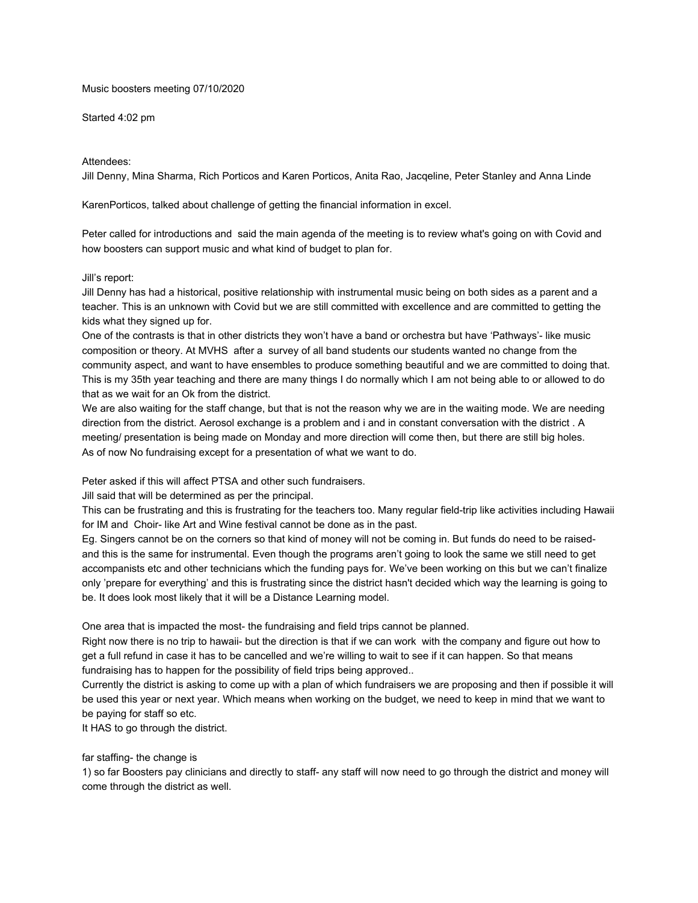### Music boosters meeting 07/10/2020

#### Started 4:02 pm

### Attendees:

Jill Denny, Mina Sharma, Rich Porticos and Karen Porticos, Anita Rao, Jacqeline, Peter Stanley and Anna Linde

KarenPorticos, talked about challenge of getting the financial information in excel.

Peter called for introductions and said the main agenda of the meeting is to review what's going on with Covid and how boosters can support music and what kind of budget to plan for.

### Jill's report:

Jill Denny has had a historical, positive relationship with instrumental music being on both sides as a parent and a teacher. This is an unknown with Covid but we are still committed with excellence and are committed to getting the kids what they signed up for.

One of the contrasts is that in other districts they won't have a band or orchestra but have 'Pathways'- like music composition or theory. At MVHS after a survey of all band students our students wanted no change from the community aspect, and want to have ensembles to produce something beautiful and we are committed to doing that. This is my 35th year teaching and there are many things I do normally which I am not being able to or allowed to do that as we wait for an Ok from the district.

We are also waiting for the staff change, but that is not the reason why we are in the waiting mode. We are needing direction from the district. Aerosol exchange is a problem and i and in constant conversation with the district . A meeting/ presentation is being made on Monday and more direction will come then, but there are still big holes. As of now No fundraising except for a presentation of what we want to do.

Peter asked if this will affect PTSA and other such fundraisers.

Jill said that will be determined as per the principal.

This can be frustrating and this is frustrating for the teachers too. Many regular field-trip like activities including Hawaii for IM and Choir- like Art and Wine festival cannot be done as in the past.

Eg. Singers cannot be on the corners so that kind of money will not be coming in. But funds do need to be raisedand this is the same for instrumental. Even though the programs aren't going to look the same we still need to get accompanists etc and other technicians which the funding pays for. We've been working on this but we can't finalize only 'prepare for everything' and this is frustrating since the district hasn't decided which way the learning is going to be. It does look most likely that it will be a Distance Learning model.

One area that is impacted the most- the fundraising and field trips cannot be planned.

Right now there is no trip to hawaii- but the direction is that if we can work with the company and figure out how to get a full refund in case it has to be cancelled and we're willing to wait to see if it can happen. So that means fundraising has to happen for the possibility of field trips being approved..

Currently the district is asking to come up with a plan of which fundraisers we are proposing and then if possible it will be used this year or next year. Which means when working on the budget, we need to keep in mind that we want to be paying for staff so etc.

It HAS to go through the district.

### far staffing- the change is

1) so far Boosters pay clinicians and directly to staff- any staff will now need to go through the district and money will come through the district as well.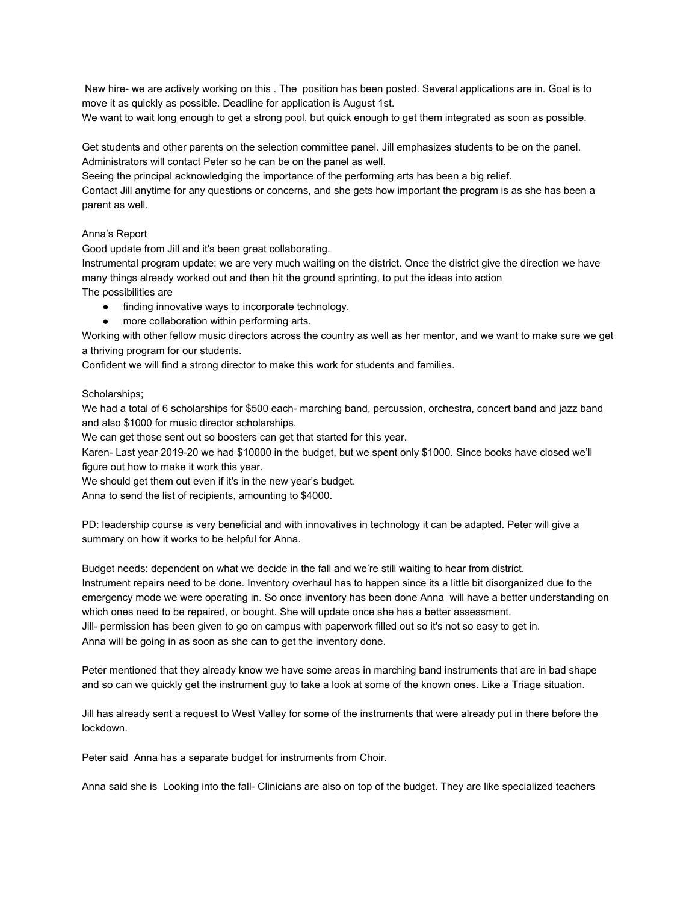New hire- we are actively working on this . The position has been posted. Several applications are in. Goal is to move it as quickly as possible. Deadline for application is August 1st.

We want to wait long enough to get a strong pool, but quick enough to get them integrated as soon as possible.

Get students and other parents on the selection committee panel. Jill emphasizes students to be on the panel. Administrators will contact Peter so he can be on the panel as well.

Seeing the principal acknowledging the importance of the performing arts has been a big relief.

Contact Jill anytime for any questions or concerns, and she gets how important the program is as she has been a parent as well.

# Anna's Report

Good update from Jill and it's been great collaborating.

Instrumental program update: we are very much waiting on the district. Once the district give the direction we have many things already worked out and then hit the ground sprinting, to put the ideas into action The possibilities are

- finding innovative ways to incorporate technology.
- more collaboration within performing arts.

Working with other fellow music directors across the country as well as her mentor, and we want to make sure we get a thriving program for our students.

Confident we will find a strong director to make this work for students and families.

### Scholarships;

We had a total of 6 scholarships for \$500 each- marching band, percussion, orchestra, concert band and jazz band and also \$1000 for music director scholarships.

We can get those sent out so boosters can get that started for this year.

Karen- Last year 2019-20 we had \$10000 in the budget, but we spent only \$1000. Since books have closed we'll figure out how to make it work this year.

We should get them out even if it's in the new year's budget.

Anna to send the list of recipients, amounting to \$4000.

PD: leadership course is very beneficial and with innovatives in technology it can be adapted. Peter will give a summary on how it works to be helpful for Anna.

Budget needs: dependent on what we decide in the fall and we're still waiting to hear from district. Instrument repairs need to be done. Inventory overhaul has to happen since its a little bit disorganized due to the emergency mode we were operating in. So once inventory has been done Anna will have a better understanding on which ones need to be repaired, or bought. She will update once she has a better assessment. Jill- permission has been given to go on campus with paperwork filled out so it's not so easy to get in. Anna will be going in as soon as she can to get the inventory done.

Peter mentioned that they already know we have some areas in marching band instruments that are in bad shape and so can we quickly get the instrument guy to take a look at some of the known ones. Like a Triage situation.

Jill has already sent a request to West Valley for some of the instruments that were already put in there before the lockdown.

Peter said Anna has a separate budget for instruments from Choir.

Anna said she is Looking into the fall- Clinicians are also on top of the budget. They are like specialized teachers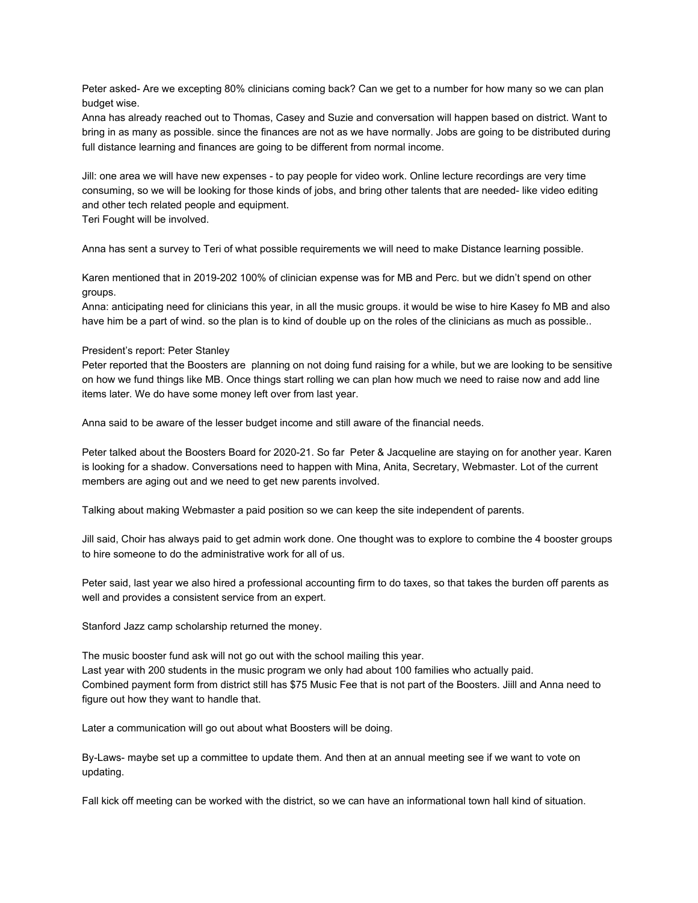Peter asked- Are we excepting 80% clinicians coming back? Can we get to a number for how many so we can plan budget wise.

Anna has already reached out to Thomas, Casey and Suzie and conversation will happen based on district. Want to bring in as many as possible. since the finances are not as we have normally. Jobs are going to be distributed during full distance learning and finances are going to be different from normal income.

Jill: one area we will have new expenses - to pay people for video work. Online lecture recordings are very time consuming, so we will be looking for those kinds of jobs, and bring other talents that are needed- like video editing and other tech related people and equipment.

Teri Fought will be involved.

Anna has sent a survey to Teri of what possible requirements we will need to make Distance learning possible.

Karen mentioned that in 2019-202 100% of clinician expense was for MB and Perc. but we didn't spend on other groups.

Anna: anticipating need for clinicians this year, in all the music groups. it would be wise to hire Kasey fo MB and also have him be a part of wind. so the plan is to kind of double up on the roles of the clinicians as much as possible..

#### President's report: Peter Stanley

Peter reported that the Boosters are planning on not doing fund raising for a while, but we are looking to be sensitive on how we fund things like MB. Once things start rolling we can plan how much we need to raise now and add line items later. We do have some money left over from last year.

Anna said to be aware of the lesser budget income and still aware of the financial needs.

Peter talked about the Boosters Board for 2020-21. So far Peter & Jacqueline are staying on for another year. Karen is looking for a shadow. Conversations need to happen with Mina, Anita, Secretary, Webmaster. Lot of the current members are aging out and we need to get new parents involved.

Talking about making Webmaster a paid position so we can keep the site independent of parents.

Jill said, Choir has always paid to get admin work done. One thought was to explore to combine the 4 booster groups to hire someone to do the administrative work for all of us.

Peter said, last year we also hired a professional accounting firm to do taxes, so that takes the burden off parents as well and provides a consistent service from an expert.

Stanford Jazz camp scholarship returned the money.

The music booster fund ask will not go out with the school mailing this year. Last year with 200 students in the music program we only had about 100 families who actually paid. Combined payment form from district still has \$75 Music Fee that is not part of the Boosters. Jiill and Anna need to figure out how they want to handle that.

Later a communication will go out about what Boosters will be doing.

By-Laws- maybe set up a committee to update them. And then at an annual meeting see if we want to vote on updating.

Fall kick off meeting can be worked with the district, so we can have an informational town hall kind of situation.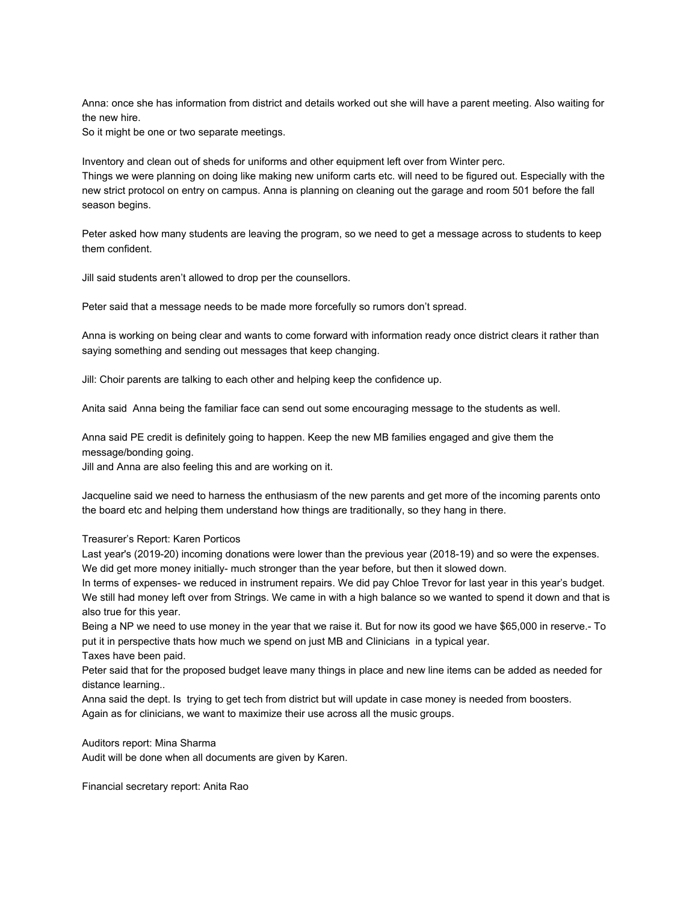Anna: once she has information from district and details worked out she will have a parent meeting. Also waiting for the new hire.

So it might be one or two separate meetings.

Inventory and clean out of sheds for uniforms and other equipment left over from Winter perc. Things we were planning on doing like making new uniform carts etc. will need to be figured out. Especially with the new strict protocol on entry on campus. Anna is planning on cleaning out the garage and room 501 before the fall season begins.

Peter asked how many students are leaving the program, so we need to get a message across to students to keep them confident.

Jill said students aren't allowed to drop per the counsellors.

Peter said that a message needs to be made more forcefully so rumors don't spread.

Anna is working on being clear and wants to come forward with information ready once district clears it rather than saying something and sending out messages that keep changing.

Jill: Choir parents are talking to each other and helping keep the confidence up.

Anita said Anna being the familiar face can send out some encouraging message to the students as well.

Anna said PE credit is definitely going to happen. Keep the new MB families engaged and give them the message/bonding going.

Jill and Anna are also feeling this and are working on it.

Jacqueline said we need to harness the enthusiasm of the new parents and get more of the incoming parents onto the board etc and helping them understand how things are traditionally, so they hang in there.

# Treasurer's Report: Karen Porticos

Last year's (2019-20) incoming donations were lower than the previous year (2018-19) and so were the expenses. We did get more money initially- much stronger than the year before, but then it slowed down.

In terms of expenses- we reduced in instrument repairs. We did pay Chloe Trevor for last year in this year's budget. We still had money left over from Strings. We came in with a high balance so we wanted to spend it down and that is also true for this year.

Being a NP we need to use money in the year that we raise it. But for now its good we have \$65,000 in reserve.- To put it in perspective thats how much we spend on just MB and Clinicians in a typical year.

Taxes have been paid.

Peter said that for the proposed budget leave many things in place and new line items can be added as needed for distance learning..

Anna said the dept. Is trying to get tech from district but will update in case money is needed from boosters. Again as for clinicians, we want to maximize their use across all the music groups.

Auditors report: Mina Sharma

Audit will be done when all documents are given by Karen.

Financial secretary report: Anita Rao